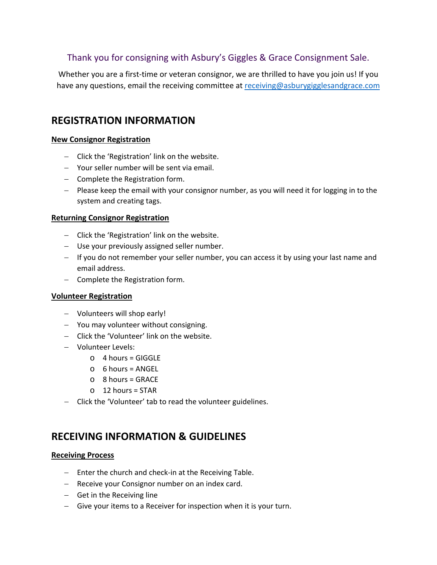# Thank you for consigning with Asbury's Giggles & Grace Consignment Sale.

Whether you are a first-time or veteran consignor, we are thrilled to have you join us! If you have any questions, email the receiving committee at [receiving@asburygigglesandgrace.com](mailto:receiving@asburygigglesandgrace.com)

# **REGISTRATION INFORMATION**

### **New Consignor Registration**

- − Click the 'Registration' link on the website.
- − Your seller number will be sent via email.
- − Complete the Registration form.
- − Please keep the email with your consignor number, as you will need it for logging in to the system and creating tags.

### **Returning Consignor Registration**

- − Click the 'Registration' link on the website.
- − Use your previously assigned seller number.
- − If you do not remember your seller number, you can access it by using your last name and email address.
- − Complete the Registration form.

## **Volunteer Registration**

- − Volunteers will shop early!
- − You may volunteer without consigning.
- − Click the 'Volunteer' link on the website.
- − Volunteer Levels:
	- $O$  4 hours = GIGGLE
	- $\circ$  6 hours = ANGEL
	- $\circ$  8 hours = GRACE
	- $O$  12 hours = STAR
- − Click the 'Volunteer' tab to read the volunteer guidelines.

# **RECEIVING INFORMATION & GUIDELINES**

#### **Receiving Process**

- − Enter the church and check-in at the Receiving Table.
- − Receive your Consignor number on an index card.
- − Get in the Receiving line
- − Give your items to a Receiver for inspection when it is your turn.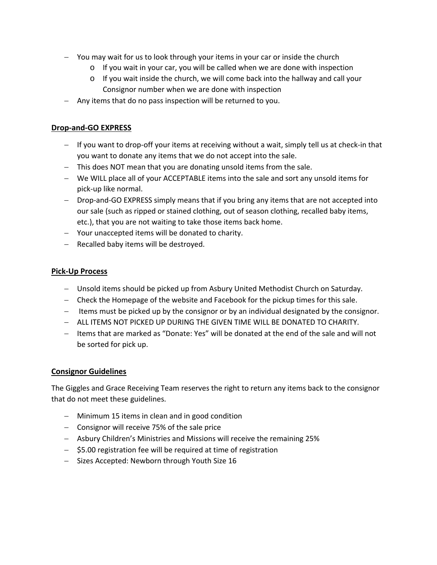- − You may wait for us to look through your items in your car or inside the church
	- o If you wait in your car, you will be called when we are done with inspection
	- $\circ$  If you wait inside the church, we will come back into the hallway and call your Consignor number when we are done with inspection
- − Any items that do no pass inspection will be returned to you.

### **Drop-and-GO EXPRESS**

- − If you want to drop-off your items at receiving without a wait, simply tell us at check-in that you want to donate any items that we do not accept into the sale.
- − This does NOT mean that you are donating unsold items from the sale.
- − We WILL place all of your ACCEPTABLE items into the sale and sort any unsold items for pick-up like normal.
- − Drop-and-GO EXPRESS simply means that if you bring any items that are not accepted into our sale (such as ripped or stained clothing, out of season clothing, recalled baby items, etc.), that you are not waiting to take those items back home.
- − Your unaccepted items will be donated to charity.
- − Recalled baby items will be destroyed.

### **Pick-Up Process**

- − Unsold items should be picked up from Asbury United Methodist Church on Saturday.
- − Check the Homepage of the website and Facebook for the pickup times for this sale.
- − Items must be picked up by the consignor or by an individual designated by the consignor.
- − ALL ITEMS NOT PICKED UP DURING THE GIVEN TIME WILL BE DONATED TO CHARITY.
- − Items that are marked as "Donate: Yes" will be donated at the end of the sale and will not be sorted for pick up.

#### **Consignor Guidelines**

The Giggles and Grace Receiving Team reserves the right to return any items back to the consignor that do not meet these guidelines.

- − Minimum 15 items in clean and in good condition
- − Consignor will receive 75% of the sale price
- − Asbury Children's Ministries and Missions will receive the remaining 25%
- − \$5.00 registration fee will be required at time of registration
- − Sizes Accepted: Newborn through Youth Size 16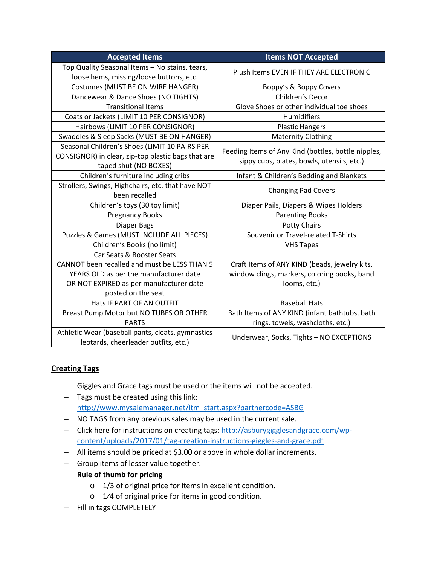| <b>Accepted Items</b>                                                                                                        | <b>Items NOT Accepted</b>                                                                         |
|------------------------------------------------------------------------------------------------------------------------------|---------------------------------------------------------------------------------------------------|
| Top Quality Seasonal Items - No stains, tears,<br>loose hems, missing/loose buttons, etc.                                    | Plush Items EVEN IF THEY ARE ELECTRONIC                                                           |
| Costumes (MUST BE ON WIRE HANGER)                                                                                            | Boppy's & Boppy Covers                                                                            |
| Dancewear & Dance Shoes (NO TIGHTS)                                                                                          | Children's Decor                                                                                  |
| <b>Transitional Items</b>                                                                                                    | Glove Shoes or other individual toe shoes                                                         |
| Coats or Jackets (LIMIT 10 PER CONSIGNOR)                                                                                    | Humidifiers                                                                                       |
| Hairbows (LIMIT 10 PER CONSIGNOR)                                                                                            | <b>Plastic Hangers</b>                                                                            |
| Swaddles & Sleep Sacks (MUST BE ON HANGER)                                                                                   | <b>Maternity Clothing</b>                                                                         |
| Seasonal Children's Shoes (LIMIT 10 PAIRS PER<br>CONSIGNOR) in clear, zip-top plastic bags that are<br>taped shut (NO BOXES) | Feeding Items of Any Kind (bottles, bottle nipples,<br>sippy cups, plates, bowls, utensils, etc.) |
| Children's furniture including cribs                                                                                         | Infant & Children's Bedding and Blankets                                                          |
| Strollers, Swings, Highchairs, etc. that have NOT<br>been recalled                                                           | <b>Changing Pad Covers</b>                                                                        |
| Children's toys (30 toy limit)                                                                                               | Diaper Pails, Diapers & Wipes Holders                                                             |
| <b>Pregnancy Books</b>                                                                                                       | <b>Parenting Books</b>                                                                            |
| Diaper Bags                                                                                                                  | <b>Potty Chairs</b>                                                                               |
| Puzzles & Games (MUST INCLUDE ALL PIECES)                                                                                    | Souvenir or Travel-related T-Shirts                                                               |
| Children's Books (no limit)                                                                                                  | <b>VHS Tapes</b>                                                                                  |
| Car Seats & Booster Seats                                                                                                    |                                                                                                   |
| CANNOT been recalled and must be LESS THAN 5                                                                                 | Craft Items of ANY KIND (beads, jewelry kits,                                                     |
| YEARS OLD as per the manufacturer date                                                                                       | window clings, markers, coloring books, band                                                      |
| OR NOT EXPIRED as per manufacturer date                                                                                      | looms, etc.)                                                                                      |
| posted on the seat                                                                                                           |                                                                                                   |
| Hats IF PART OF AN OUTFIT                                                                                                    | <b>Baseball Hats</b>                                                                              |
| Breast Pump Motor but NO TUBES OR OTHER<br><b>PARTS</b>                                                                      | Bath Items of ANY KIND (infant bathtubs, bath<br>rings, towels, washcloths, etc.)                 |
| Athletic Wear (baseball pants, cleats, gymnastics<br>leotards, cheerleader outfits, etc.)                                    | Underwear, Socks, Tights - NO EXCEPTIONS                                                          |

## **Creating Tags**

- − Giggles and Grace tags must be used or the items will not be accepted.
- − Tags must be created using this link: [http://www.mysalemanager.net/itm\\_start.aspx?partnercode=ASBG](http://www.mysalemanager.net/itm_start.aspx?partnercode=ASBG)
- − NO TAGS from any previous sales may be used in the current sale.
- − Click here for instructions on creating tags: [http://asburygigglesandgrace.com/wp](http://asburygigglesandgrace.com/wp-content/uploads/2017/01/tag-creation-instructions-giggles-and-grace.pdf)[content/uploads/2017/01/tag-creation-instructions-giggles-and-grace.pdf](http://asburygigglesandgrace.com/wp-content/uploads/2017/01/tag-creation-instructions-giggles-and-grace.pdf)
- − All items should be priced at \$3.00 or above in whole dollar increments.
- − Group items of lesser value together.
- − **Rule of thumb for pricing**
	- o 1/3 of original price for items in excellent condition.
	- o 1⁄4 of original price for items in good condition.
- − Fill in tags COMPLETELY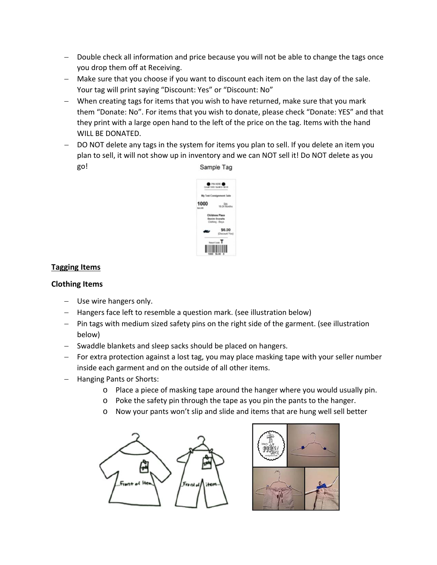- − Double check all information and price because you will not be able to change the tags once you drop them off at Receiving.
- − Make sure that you choose if you want to discount each item on the last day of the sale. Your tag will print saying "Discount: Yes" or "Discount: No"
- − When creating tags for items that you wish to have returned, make sure that you mark them "Donate: No". For items that you wish to donate, please check "Donate: YES" and that they print with a large open hand to the left of the price on the tag. Items with the hand WILL BE DONATED.
- − DO NOT delete any tags in the system for items you plan to sell. If you delete an item you plan to sell, it will not show up in inventory and we can NOT sell it! Do NOT delete as you go! Sample Tag



## **Tagging Items**

## **Clothing Items**

- − Use wire hangers only.
- − Hangers face left to resemble a question mark. (see illustration below)
- − Pin tags with medium sized safety pins on the right side of the garment. (see illustration below)
- − Swaddle blankets and sleep sacks should be placed on hangers.
- − For extra protection against a lost tag, you may place masking tape with your seller number inside each garment and on the outside of all other items.
- − Hanging Pants or Shorts:
	- o Place a piece of masking tape around the hanger where you would usually pin.
	- $\circ$  Poke the safety pin through the tape as you pin the pants to the hanger.
	- o Now your pants won't slip and slide and items that are hung well sell better